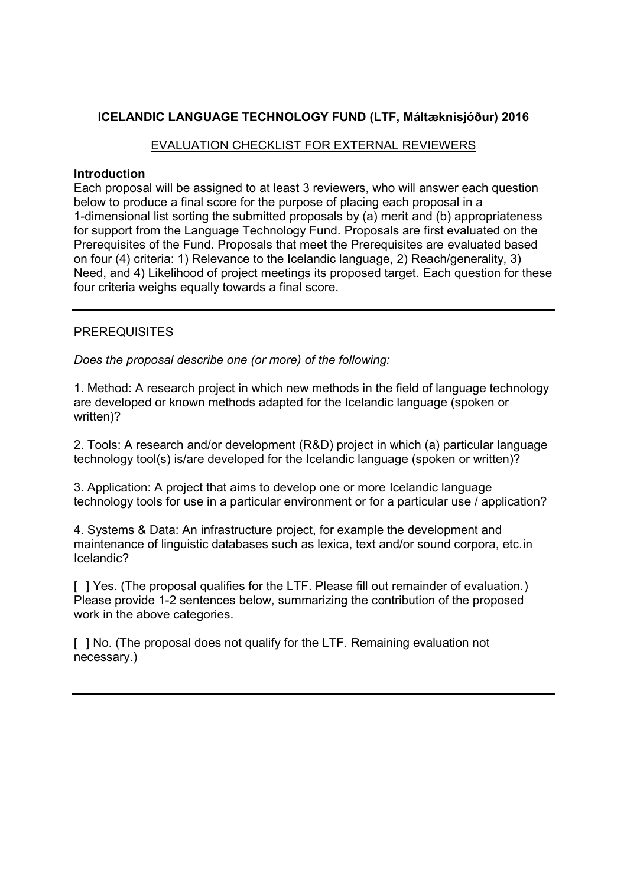### **ICELANDIC LANGUAGE TECHNOLOGY FUND (LTF, Máltæknisjóður) 2016**

### EVALUATION CHECKLIST FOR EXTERNAL REVIEWERS

#### **Introduction**

Each proposal will be assigned to at least 3 reviewers, who will answer each question below to produce a final score for the purpose of placing each proposal in a 1-dimensional list sorting the submitted proposals by (a) merit and (b) appropriateness for support from the Language Technology Fund. Proposals are first evaluated on the Prerequisites of the Fund. Proposals that meet the Prerequisites are evaluated based on four (4) criteria: 1) Relevance to the Icelandic language, 2) Reach/generality, 3) Need, and 4) Likelihood of project meetings its proposed target. Each question for these four criteria weighs equally towards a final score.

### **PREREQUISITES**

*Does the proposal describe one (or more) of the following:*

1. Method: A research project in which new methods in the field of language technology are developed or known methods adapted for the Icelandic language (spoken or written)?

2. Tools: A research and/or development (R&D) project in which (a) particular language technology tool(s) is/are developed for the Icelandic language (spoken or written)?

3. Application: A project that aims to develop one or more Icelandic language technology tools for use in a particular environment or for a particular use / application?

4. Systems & Data: An infrastructure project, for example the development and maintenance of linguistic databases such as lexica, text and/or sound corpora, etc.in Icelandic?

[ ] Yes. (The proposal qualifies for the LTF. Please fill out remainder of evaluation.) Please provide 1-2 sentences below, summarizing the contribution of the proposed work in the above categories.

[ ] No. (The proposal does not qualify for the LTF. Remaining evaluation not necessary.)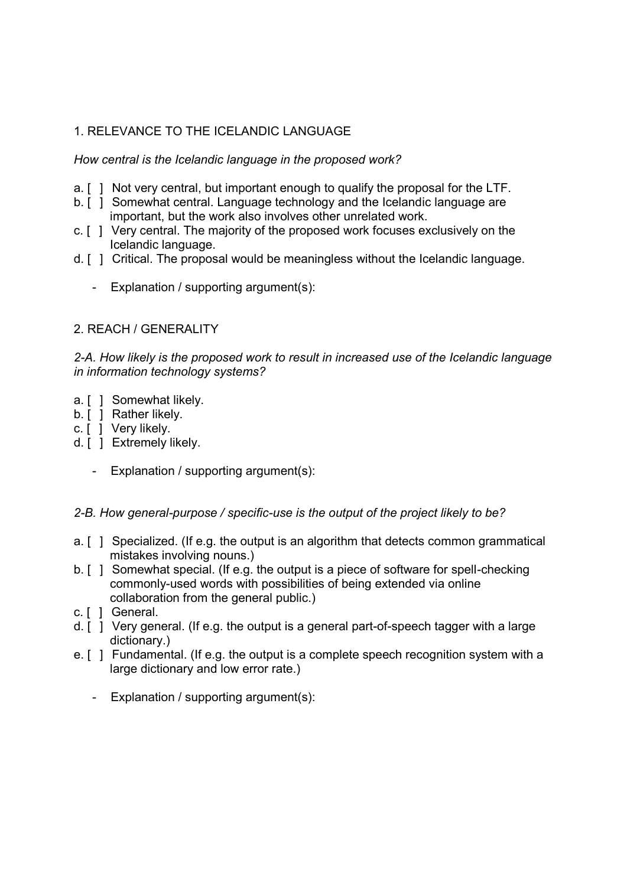# 1. RELEVANCE TO THE ICELANDIC LANGUAGE

*How central is the Icelandic language in the proposed work?*

- a. [ ] Not very central, but important enough to qualify the proposal for the LTF.
- b. [ ] Somewhat central. Language technology and the Icelandic language are important, but the work also involves other unrelated work.
- c. [ ] Very central. The majority of the proposed work focuses exclusively on the Icelandic language.
- d. [ ] Critical. The proposal would be meaningless without the Icelandic language.
	- Explanation / supporting argument(s):

### 2. REACH / GENERALITY

*2-A. How likely is the proposed work to result in increased use of the Icelandic language in information technology systems?*

- a. [ ] Somewhat likely.
- b. [ ] Rather likely.
- c. [ ] Very likely.
- d. [ ] Extremely likely.
	- Explanation / supporting argument(s):

#### *2-B. How general-purpose / specific-use is the output of the project likely to be?*

- a. [ ] Specialized. (If e.g. the output is an algorithm that detects common grammatical mistakes involving nouns.)
- b. [ ] Somewhat special. (If e.g. the output is a piece of software for spell-checking commonly-used words with possibilities of being extended via online collaboration from the general public.)
- c. [ ] General.
- d. [ ] Very general. (If e.g. the output is a general part-of-speech tagger with a large dictionary.)
- e. [ ] Fundamental. (If e.g. the output is a complete speech recognition system with a large dictionary and low error rate.)
	- Explanation / supporting argument(s):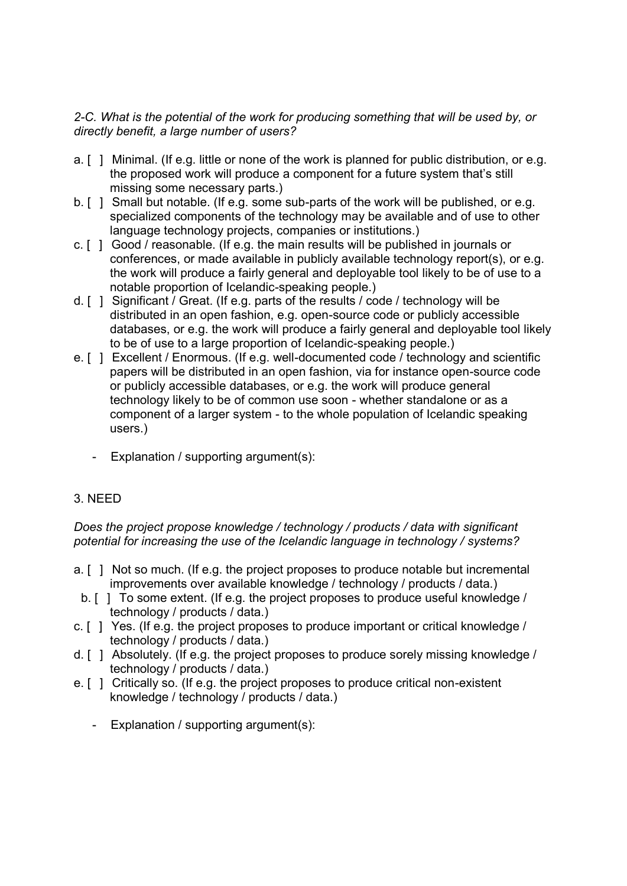### *2-C. What is the potential of the work for producing something that will be used by, or directly benefit, a large number of users?*

- a. [ ] Minimal. (If e.g. little or none of the work is planned for public distribution, or e.g. the proposed work will produce a component for a future system that's still missing some necessary parts.)
- b. [ ] Small but notable. (If e.g. some sub-parts of the work will be published, or e.g. specialized components of the technology may be available and of use to other language technology projects, companies or institutions.)
- c. [ ] Good / reasonable. (If e.g. the main results will be published in journals or conferences, or made available in publicly available technology report(s), or e.g. the work will produce a fairly general and deployable tool likely to be of use to a notable proportion of Icelandic-speaking people.)
- d. [ ] Significant / Great. (If e.g. parts of the results / code / technology will be distributed in an open fashion, e.g. open-source code or publicly accessible databases, or e.g. the work will produce a fairly general and deployable tool likely to be of use to a large proportion of Icelandic-speaking people.)
- e. [ ] Excellent / Enormous. (If e.g. well-documented code / technology and scientific papers will be distributed in an open fashion, via for instance open-source code or publicly accessible databases, or e.g. the work will produce general technology likely to be of common use soon - whether standalone or as a component of a larger system - to the whole population of Icelandic speaking users.)
	- Explanation / supporting argument(s):

# 3. NEED

*Does the project propose knowledge / technology / products / data with significant potential for increasing the use of the Icelandic language in technology / systems?*

- a. [ ] Not so much. (If e.g. the project proposes to produce notable but incremental improvements over available knowledge / technology / products / data.)
- b. [ ] To some extent. (If e.g. the project proposes to produce useful knowledge / technology / products / data.)
- c. [ ] Yes. (If e.g. the project proposes to produce important or critical knowledge / technology / products / data.)
- d. [ ] Absolutely. (If e.g. the project proposes to produce sorely missing knowledge / technology / products / data.)
- e. [ ] Critically so. (If e.g. the project proposes to produce critical non-existent knowledge / technology / products / data.)
	- Explanation / supporting argument(s):